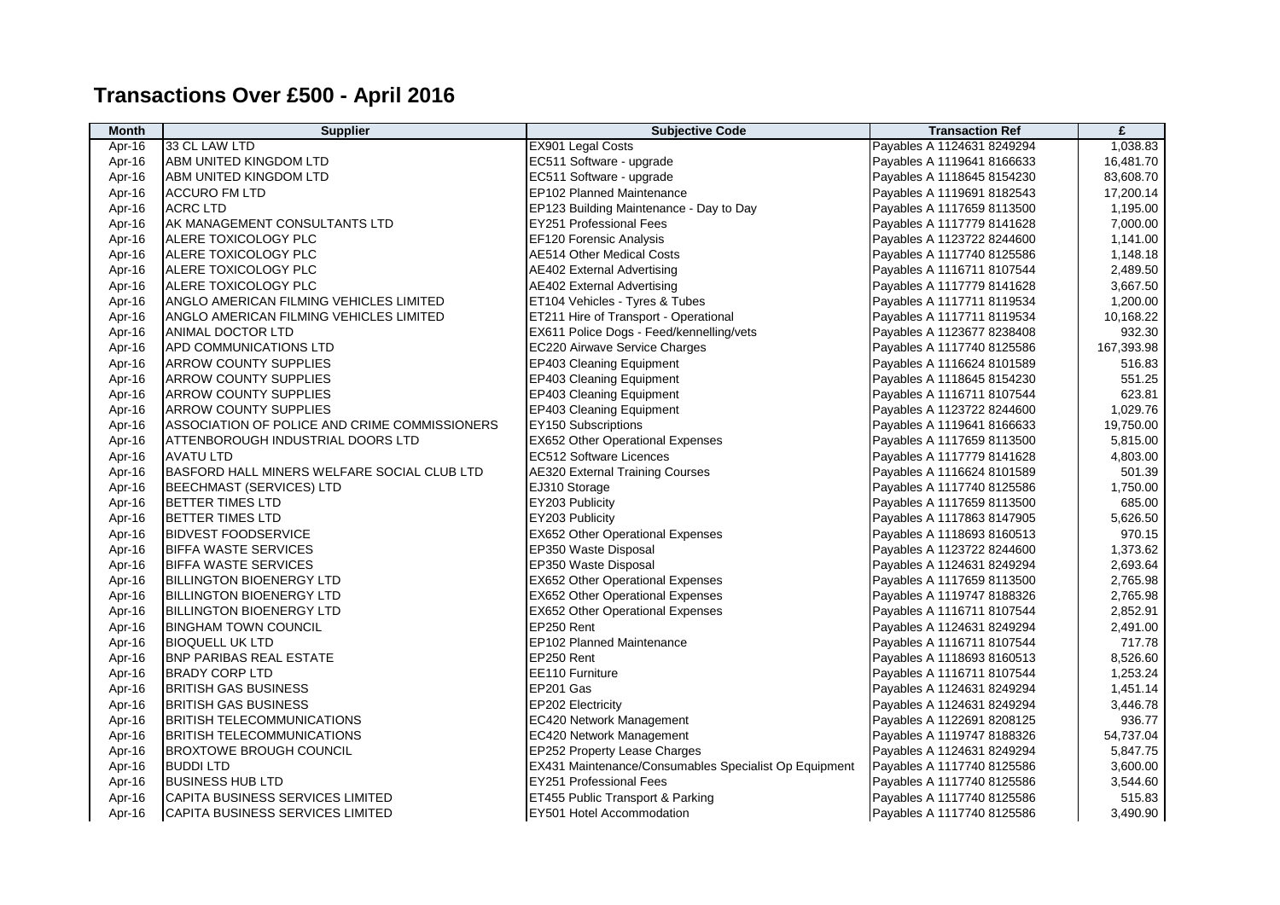## **Transactions Over £500 - April 2016**

| <b>Month</b> | <b>Supplier</b>                               | <b>Subjective Code</b>                                | <b>Transaction Ref</b>     | £          |
|--------------|-----------------------------------------------|-------------------------------------------------------|----------------------------|------------|
| Apr-16       | 33 CL LAW LTD                                 | EX901 Legal Costs                                     | Payables A 1124631 8249294 | 1,038.83   |
| Apr-16       | ABM UNITED KINGDOM LTD                        | EC511 Software - upgrade                              | Payables A 1119641 8166633 | 16,481.70  |
| Apr-16       | ABM UNITED KINGDOM LTD                        | EC511 Software - upgrade                              | Payables A 1118645 8154230 | 83,608.70  |
| Apr-16       | <b>ACCURO FM LTD</b>                          | EP102 Planned Maintenance                             | Payables A 1119691 8182543 | 17,200.14  |
| Apr-16       | <b>ACRC LTD</b>                               | EP123 Building Maintenance - Day to Day               | Payables A 1117659 8113500 | 1,195.00   |
| Apr-16       | AK MANAGEMENT CONSULTANTS LTD                 | <b>EY251 Professional Fees</b>                        | Payables A 1117779 8141628 | 7,000.00   |
| Apr-16       | ALERE TOXICOLOGY PLC                          | EF120 Forensic Analysis                               | Payables A 1123722 8244600 | 1,141.00   |
| Apr-16       | ALERE TOXICOLOGY PLC                          | <b>AE514 Other Medical Costs</b>                      | Payables A 1117740 8125586 | 1,148.18   |
| Apr-16       | ALERE TOXICOLOGY PLC                          | <b>AE402 External Advertising</b>                     | Payables A 1116711 8107544 | 2,489.50   |
| Apr-16       | ALERE TOXICOLOGY PLC                          | AE402 External Advertising                            | Payables A 1117779 8141628 | 3,667.50   |
| Apr-16       | ANGLO AMERICAN FILMING VEHICLES LIMITED       | ET104 Vehicles - Tyres & Tubes                        | Payables A 1117711 8119534 | 1,200.00   |
| Apr-16       | ANGLO AMERICAN FILMING VEHICLES LIMITED       | ET211 Hire of Transport - Operational                 | Payables A 1117711 8119534 | 10,168.22  |
| Apr-16       | ANIMAL DOCTOR LTD                             | EX611 Police Dogs - Feed/kennelling/vets              | Payables A 1123677 8238408 | 932.30     |
| Apr-16       | APD COMMUNICATIONS LTD                        | EC220 Airwave Service Charges                         | Payables A 1117740 8125586 | 167,393.98 |
| Apr-16       | ARROW COUNTY SUPPLIES                         | <b>EP403 Cleaning Equipment</b>                       | Payables A 1116624 8101589 | 516.83     |
| Apr-16       | <b>ARROW COUNTY SUPPLIES</b>                  | EP403 Cleaning Equipment                              | Payables A 1118645 8154230 | 551.25     |
| Apr-16       | <b>ARROW COUNTY SUPPLIES</b>                  | EP403 Cleaning Equipment                              | Payables A 1116711 8107544 | 623.81     |
| Apr-16       | <b>ARROW COUNTY SUPPLIES</b>                  | EP403 Cleaning Equipment                              | Payables A 1123722 8244600 | 1,029.76   |
| Apr-16       | ASSOCIATION OF POLICE AND CRIME COMMISSIONERS | EY150 Subscriptions                                   | Payables A 1119641 8166633 | 19,750.00  |
| Apr-16       | ATTENBOROUGH INDUSTRIAL DOORS LTD             | <b>EX652 Other Operational Expenses</b>               | Payables A 1117659 8113500 | 5,815.00   |
| Apr-16       | <b>AVATU LTD</b>                              | <b>EC512 Software Licences</b>                        | Payables A 1117779 8141628 | 4,803.00   |
| Apr-16       | BASFORD HALL MINERS WELFARE SOCIAL CLUB LTD   | <b>AE320 External Training Courses</b>                | Payables A 1116624 8101589 | 501.39     |
| Apr-16       | <b>BEECHMAST (SERVICES) LTD</b>               | EJ310 Storage                                         | Payables A 1117740 8125586 | 1,750.00   |
| Apr-16       | BETTER TIMES LTD                              | EY203 Publicity                                       | Payables A 1117659 8113500 | 685.00     |
| Apr-16       | <b>BETTER TIMES LTD</b>                       | EY203 Publicity                                       | Payables A 1117863 8147905 | 5,626.50   |
| Apr-16       | <b>BIDVEST FOODSERVICE</b>                    | <b>EX652 Other Operational Expenses</b>               | Payables A 1118693 8160513 | 970.15     |
| Apr-16       | <b>BIFFA WASTE SERVICES</b>                   | EP350 Waste Disposal                                  | Payables A 1123722 8244600 | 1,373.62   |
| Apr-16       | <b>BIFFA WASTE SERVICES</b>                   | EP350 Waste Disposal                                  | Payables A 1124631 8249294 | 2,693.64   |
| Apr-16       | <b>BILLINGTON BIOENERGY LTD</b>               | <b>EX652 Other Operational Expenses</b>               | Payables A 1117659 8113500 | 2,765.98   |
| Apr-16       | <b>BILLINGTON BIOENERGY LTD</b>               | <b>EX652 Other Operational Expenses</b>               | Payables A 1119747 8188326 | 2,765.98   |
| Apr-16       | <b>BILLINGTON BIOENERGY LTD</b>               | EX652 Other Operational Expenses                      | Payables A 1116711 8107544 | 2,852.91   |
| Apr-16       | <b>BINGHAM TOWN COUNCIL</b>                   | EP250 Rent                                            | Payables A 1124631 8249294 | 2,491.00   |
| Apr-16       | BIOQUELL UK LTD                               | EP102 Planned Maintenance                             | Payables A 1116711 8107544 | 717.78     |
| Apr-16       | <b>BNP PARIBAS REAL ESTATE</b>                | EP250 Rent                                            | Payables A 1118693 8160513 | 8,526.60   |
| Apr-16       | <b>BRADY CORP LTD</b>                         | EE110 Furniture                                       | Payables A 1116711 8107544 | 1,253.24   |
| Apr-16       | <b>BRITISH GAS BUSINESS</b>                   | EP201 Gas                                             | Payables A 1124631 8249294 | 1,451.14   |
| Apr-16       | <b>BRITISH GAS BUSINESS</b>                   | EP202 Electricity                                     | Payables A 1124631 8249294 | 3,446.78   |
| Apr-16       | <b>BRITISH TELECOMMUNICATIONS</b>             | EC420 Network Management                              | Payables A 1122691 8208125 | 936.77     |
| Apr-16       | <b>BRITISH TELECOMMUNICATIONS</b>             | EC420 Network Management                              | Payables A 1119747 8188326 | 54,737.04  |
| Apr-16       | <b>BROXTOWE BROUGH COUNCIL</b>                | EP252 Property Lease Charges                          | Payables A 1124631 8249294 | 5,847.75   |
| Apr-16       | <b>BUDDILTD</b>                               | EX431 Maintenance/Consumables Specialist Op Equipment | Payables A 1117740 8125586 | 3,600.00   |
| Apr-16       | <b>BUSINESS HUB LTD</b>                       | <b>EY251 Professional Fees</b>                        | Payables A 1117740 8125586 | 3,544.60   |
| Apr-16       | CAPITA BUSINESS SERVICES LIMITED              | ET455 Public Transport & Parking                      | Payables A 1117740 8125586 | 515.83     |
| Apr-16       | CAPITA BUSINESS SERVICES LIMITED              | EY501 Hotel Accommodation                             | Payables A 1117740 8125586 | 3,490.90   |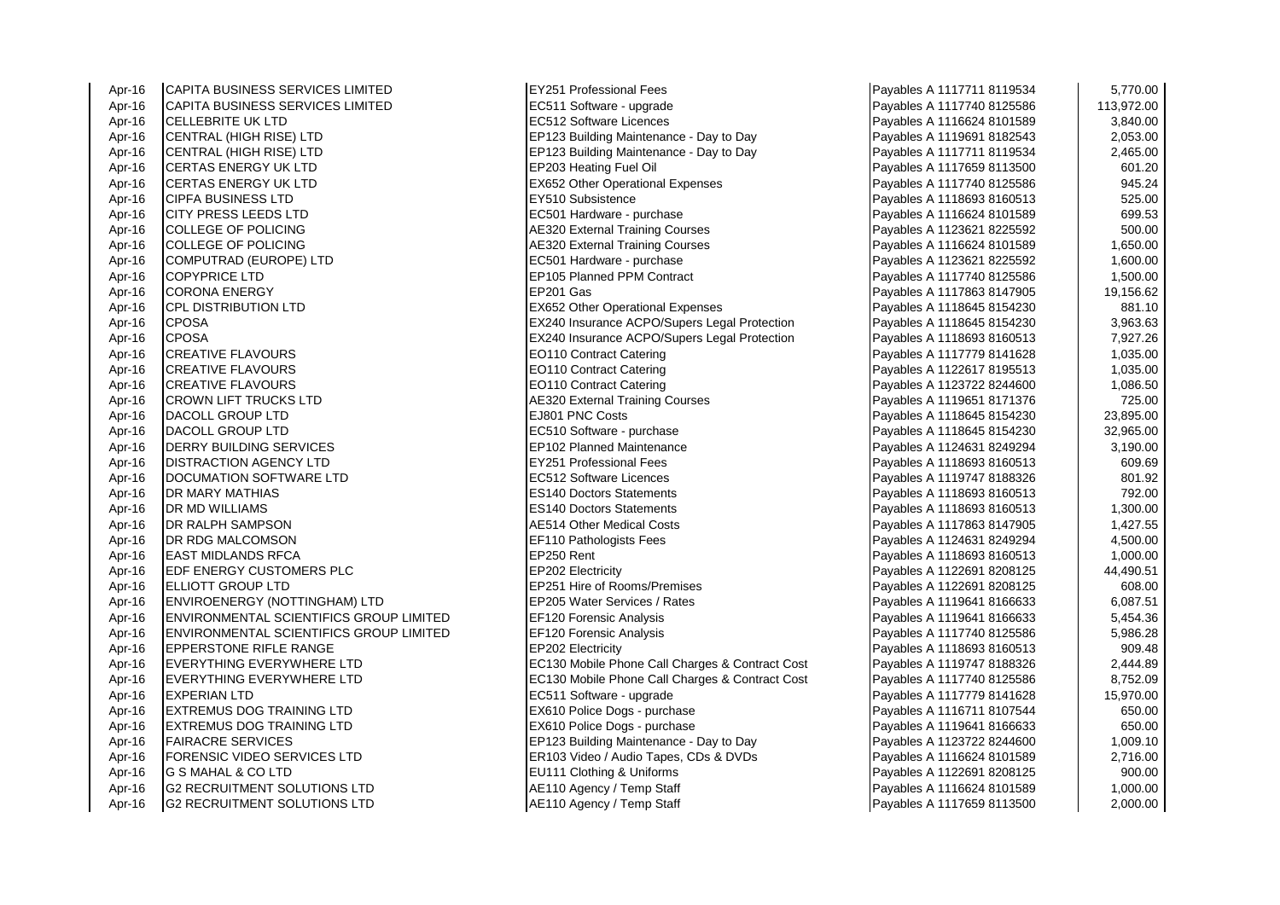Apr-16 CAPITA BUSINESS SERVICES LIMITED **EXAMPLE 1999** EX251 Professional Fees<br>Apr-16 CAPITA BUSINESS SERVICES LIMITED **EXAMPLE 1211** EC511 Software - upgrade Apr-16 CAPITA BUSINESS SERVICES LIMITED **EC511 Software - upgrade** Apr-16 CELL FBRITE UK I TD Apr-16 |CELLEBRITE UK LTD |EC512 Software Licences 3,840.00 Apr-16 CENTRAL (HIGH RISE) LTD EP123 Building Maintenance - Day to Day Apr-16 CENTRAL (HIGH RISE) LTD CALL EP123 Building Maintenance - Day to Day<br>Apr-16 CERTAS ENERGY UK LTD CALL EP203 Heating Fuel Oil Apr-16 CERTAS ENERGY UK LTD<br>Apr-16 CERTAS ENERGY UK LTD Apr-16 CERTAS ENERGY UK LTD EX652 Other Operational Expenses<br>Apr-16 CIPFA BUSINESS I TD Apr-16 CIPFA BUSINESS LTD EY510 Subsistence Payables A 1118693 8160513 525.00 Apr-16 CITY PRESS LEEDS LTD EC501 Hardware - purchase Apr-16 COLLEGE OF POLICING Apr-16 AE320 External Training Courses Apr-16 COLLEGE OF POLICING And AE320 External Training Courses Apr-16 COMPUTRAD (EUROPE) LTD EC501 Hardware - purchase Payables A 1123621 822501 8225692 1,600.0000 1,600.000<br>Apr-16 COPYPRICE I TD Apr-16 COPYPRICE LTD EP105 Planned PPM Contract Payables A 1117740 8125586 1,500.00 Apr-16 CORONA ENERGY EP201 Gas Payables A 1117863 8147905 19,156.62 Apr-16 CPL DISTRIBUTION LTD<br>Apr-16 CPOSA 2010 CPOSA Apr-16 CPOSA **EX240 Insurance ACPO/Supers Legal Protection** Apr-16 CREATIVE FLAVOURS Notes that the second that the CONTRACT Catering Payables A 1117779 8141628 1,035.00 Apr-16 CREATIVE FLAVOURS EO110 Contract Catering Payables A 1122617 8195513 1,035.00 Apr-16 CREATIVE FLAVOURS EXAMPLE 20110 Contract Catering Apr-16 CROWN LIFT TRUCKS LTD AF320 External Training Courses Apr-16 DACOLL GROUP LTD EJ801 PNC Costs Payables A 1118645 8154230 23,895.00 Apr-16 DACOLL GROUP LTD<br>Apr-16 DERRY BUILDING SERVICES A 111 111864 815424 815424 81545 815446 815424 Apr-16 DERRY BUILDING SERVICES Apr-16 DISTRACTION AGENCY LTD EY251 Professional Fees<br>Apr-16 DOCLIMATION SOFTWARE LTD EC512 Software Licences Apr-16 DOCUMATION SOFTWARE LTD Apr-16 DR MARY MATHIAS ES140 Doctors Statements Payables A 1118693 8160513 792.00 Apr-16 DR MD WILLIAMS ES140 Doctors Statements Payables A 1118693 8160513 1,300.00 Apr-16 DR RALPH SAMPSON Apr-16 AE514 Other Medical Costs Apr-16 DR RDG MALCOMSON EF110 Pathologists Fees<br>Apr-16 FAST MIDLANDS RFCA 11246 1,500 Represent REP250 Rent Apr-16 EAST MIDLANDS RFCA EP250 Rent Payables A 1118693 8160513 1,000.00 Apr-16 EDF ENERGY CUSTOMERS PLC EP202 Electricity Apr-16 **ELLIOTT GROUP LTD** EP251 Hire of Rooms/Premises Apr-16 ENVIROENERGY (NOTTINGHAM) LTD EP205 Water Services / Rates Apr-16 ENVIRONMENTAL SCIENTIFICS GROUP LIMITED EF120 Forensic Analysis<br>Apr-16 ENVIRONMENTAL SCIENTIFICS GROUP LIMITED EF120 Forensic Analysis **ENVIRONMENTAL SCIENTIFICS GROUP LIMITED** Apr-16 EPPERSTONE RIFLE RANGE EP202 Electricity Apr-16 EVERYTHING EVERYWHERE LTD EC130 Mobile Phone Call Charges & Contract Cost Apr-16 EVERYTHING EVERYWHERE LTD EC130 Mobile Phone Call Charges & Contract Cost Apr-16 EXPERIAN LTD<br>
Apr-16 EXTREMUS DOG TRAINING LTD EX610 Police Doas - purchase **EXTREMUS DOG TRAINING LTD** Apr-16 EXTREMUS DOG TRAINING LTD **EX610 Police Dogs - purchase** Apr-16 FAIRACRE SERVICES ERRICLES EP123 Building Maintenance - Day to Day Apr-16 **FORENSIC VIDEO SERVICES LTD** ER103 Video / Audio Tapes, CDs & DVDs Apr-16 G S MAHAL & CO LTD **EU111** Clothing & Uniforms Apr-16 G2 RECRUITMENT SOLUTIONS LTD Annual AE110 Agency / Temp Staff Apr-16 G2 RECRUITMENT SOLUTIONS LTD Annual AE110 Agency / Temp Staff

**EX240 Insurance ACPO/Supers Legal Protection** 

| Payables A 1117711 8119534 | 5,770.00   |
|----------------------------|------------|
| Payables A 1117740 8125586 | 113,972.00 |
| Payables A 1116624 8101589 | 3,840.00   |
| Payables A 1119691 8182543 | 2,053.00   |
| Payables A 1117711 8119534 | 2,465.00   |
| Payables A 1117659 8113500 | 601.20     |
| Payables A 1117740 8125586 | 945.24     |
| Payables A 1118693 8160513 | 525.00     |
| Payables A 1116624 8101589 | 699.53     |
| Payables A 1123621 8225592 | 500.00     |
| Payables A 1116624 8101589 | 1,650.00   |
| Payables A 1123621 8225592 | 1,600.00   |
| Payables A 1117740 8125586 | 1,500.00   |
| Payables A 1117863 8147905 | 19,156.62  |
| Payables A 1118645 8154230 | 881.10     |
| Payables A 1118645 8154230 | 3,963.63   |
| Payables A 1118693 8160513 | 7,927.26   |
| Payables A 1117779 8141628 | 1,035.00   |
| Payables A 1122617 8195513 | 1,035.00   |
| Payables A 1123722 8244600 | 1,086.50   |
| Payables A 1119651 8171376 | 725.00     |
| Payables A 1118645 8154230 | 23,895.00  |
| Payables A 1118645 8154230 | 32,965.00  |
| Payables A 1124631 8249294 | 3,190.00   |
| Payables A 1118693 8160513 | 609.69     |
| Payables A 1119747 8188326 | 801.92     |
| Payables A 1118693 8160513 | 792.00     |
| Payables A 1118693 8160513 | 1,300.00   |
| Payables A 1117863 8147905 | 1,427.55   |
| Payables A 1124631 8249294 | 4,500.00   |
| Payables A 1118693 8160513 | 1,000.00   |
| Payables A 1122691 8208125 | 44,490.51  |
| Payables A 1122691 8208125 | 608.00     |
| Payables A 1119641 8166633 | 6,087.51   |
| Payables A 1119641 8166633 | 5,454.36   |
| Payables A 1117740 8125586 | 5,986.28   |
| Payables A 1118693 8160513 | 909.48     |
| Payables A 1119747 8188326 | 2,444.89   |
| Payables A 1117740 8125586 | 8,752.09   |
| Payables A 1117779 8141628 | 15,970.00  |
| Payables A 1116711 8107544 | 650.00     |
| Payables A 1119641 8166633 | 650.00     |
| Payables A 1123722 8244600 | 1,009.10   |
| Payables A 1116624 8101589 | 2,716.00   |
| Payables A 1122691 8208125 | 900.00     |
| Payables A 1116624 8101589 | 1,000.00   |
| Pavables A 1117659 8113500 | 2.000.00   |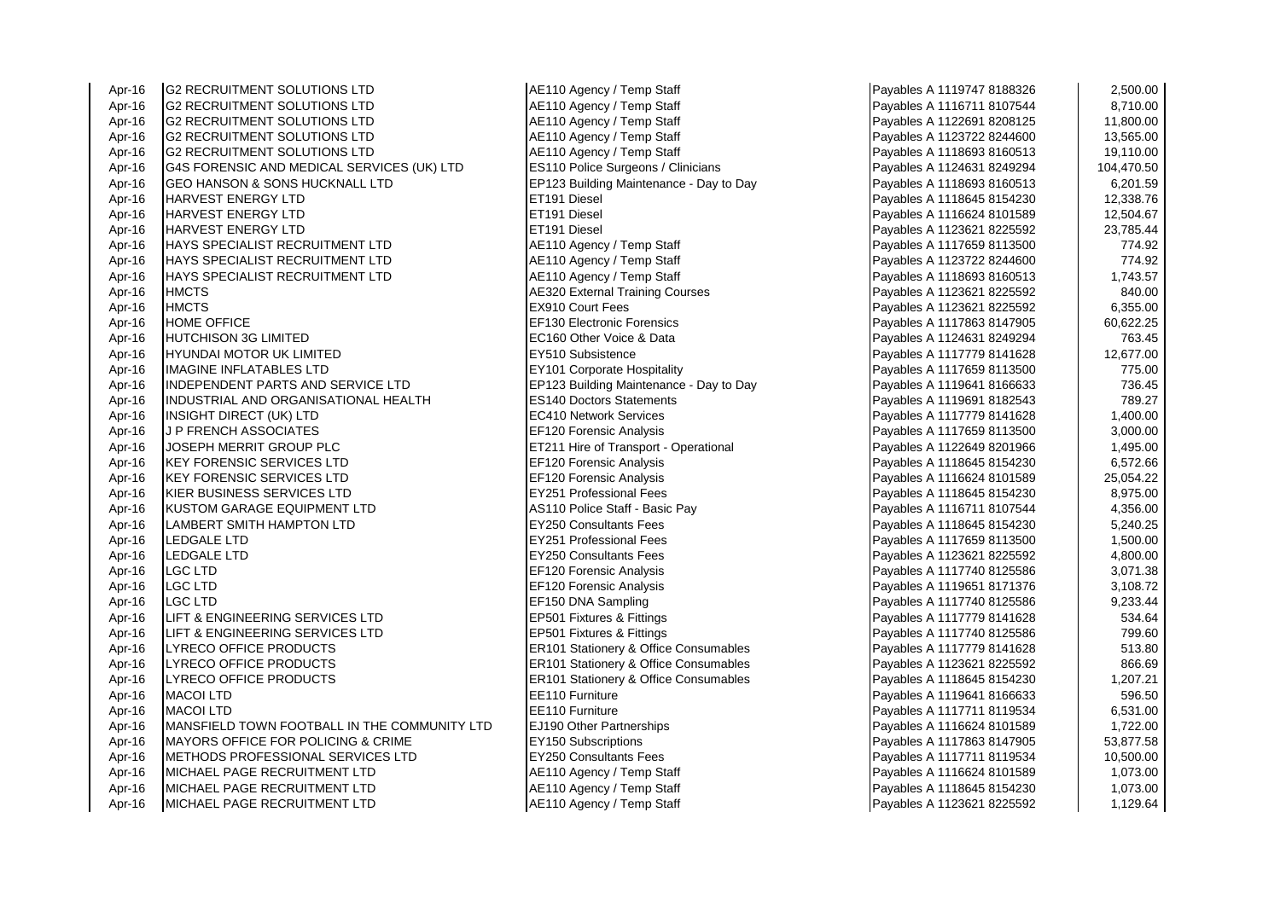| Apr-16 | <b>IG2 RECRUITMENT SOLUTIONS LTD</b>           | AE110 Agency / Temp Staff                        | Payables A 1119747 8188326 | 2,500.00   |
|--------|------------------------------------------------|--------------------------------------------------|----------------------------|------------|
| Apr-16 | <b>G2 RECRUITMENT SOLUTIONS LTD</b>            | AE110 Agency / Temp Staff                        | Payables A 1116711 8107544 | 8,710.00   |
| Apr-16 | <b>G2 RECRUITMENT SOLUTIONS LTD</b>            | AE110 Agency / Temp Staff                        | Payables A 1122691 8208125 | 11,800.00  |
| Apr-16 | <b>G2 RECRUITMENT SOLUTIONS LTD</b>            | AE110 Agency / Temp Staff                        | Payables A 1123722 8244600 | 13,565.00  |
| Apr-16 | <b>G2 RECRUITMENT SOLUTIONS LTD</b>            | AE110 Agency / Temp Staff                        | Payables A 1118693 8160513 | 19,110.00  |
| Apr-16 | G4S FORENSIC AND MEDICAL SERVICES (UK) LTD     | ES110 Police Surgeons / Clinicians               | Payables A 1124631 8249294 | 104,470.50 |
| Apr-16 | GEO HANSON & SONS HUCKNALL LTD                 | EP123 Building Maintenance - Day to Day          | Payables A 1118693 8160513 | 6,201.59   |
| Apr-16 | <b>HARVEST ENERGY LTD</b>                      | ET191 Diesel                                     | Payables A 1118645 8154230 | 12,338.76  |
| Apr-16 | HARVEST ENERGY LTD                             | ET191 Diesel                                     | Payables A 1116624 8101589 | 12,504.67  |
| Apr-16 | HARVEST ENERGY LTD                             | ET191 Diesel                                     | Payables A 1123621 8225592 | 23,785.44  |
| Apr-16 | HAYS SPECIALIST RECRUITMENT LTD                | AE110 Agency / Temp Staff                        | Payables A 1117659 8113500 | 774.92     |
| Apr-16 | HAYS SPECIALIST RECRUITMENT LTD                | AE110 Agency / Temp Staff                        | Payables A 1123722 8244600 | 774.92     |
| Apr-16 | <b>HAYS SPECIALIST RECRUITMENT LTD</b>         | AE110 Agency / Temp Staff                        | Payables A 1118693 8160513 | 1,743.57   |
| Apr-16 | <b>HMCTS</b>                                   | <b>AE320 External Training Courses</b>           | Payables A 1123621 8225592 | 840.00     |
| Apr-16 | <b>HMCTS</b>                                   | <b>EX910 Court Fees</b>                          | Payables A 1123621 8225592 | 6,355.00   |
| Apr-16 | <b>HOME OFFICE</b>                             | <b>EF130 Electronic Forensics</b>                | Payables A 1117863 8147905 | 60,622.25  |
| Apr-16 | <b>HUTCHISON 3G LIMITED</b>                    | EC160 Other Voice & Data                         | Payables A 1124631 8249294 | 763.45     |
| Apr-16 | HYUNDAI MOTOR UK LIMITED                       | EY510 Subsistence                                | Payables A 1117779 8141628 | 12,677.00  |
| Apr-16 | IMAGINE INFLATABLES LTD                        | <b>EY101 Corporate Hospitality</b>               | Payables A 1117659 8113500 | 775.00     |
| Apr-16 | INDEPENDENT PARTS AND SERVICE LTD              | EP123 Building Maintenance - Day to Day          | Payables A 1119641 8166633 | 736.45     |
| Apr-16 | INDUSTRIAL AND ORGANISATIONAL HEALTH           | <b>ES140 Doctors Statements</b>                  | Payables A 1119691 8182543 | 789.27     |
| Apr-16 | INSIGHT DIRECT (UK) LTD                        | <b>EC410 Network Services</b>                    | Payables A 1117779 8141628 | 1,400.00   |
| Apr-16 | <b>J P FRENCH ASSOCIATES</b>                   | <b>EF120 Forensic Analysis</b>                   | Payables A 1117659 8113500 | 3,000.00   |
| Apr-16 | JOSEPH MERRIT GROUP PLC                        | ET211 Hire of Transport - Operational            | Payables A 1122649 8201966 | 1,495.00   |
| Apr-16 | <b>KEY FORENSIC SERVICES LTD</b>               | <b>EF120 Forensic Analysis</b>                   | Payables A 1118645 8154230 | 6,572.66   |
| Apr-16 | <b>I</b> KEY FORENSIC SERVICES LTD             | <b>EF120 Forensic Analysis</b>                   | Payables A 1116624 8101589 | 25,054.22  |
| Apr-16 | KIER BUSINESS SERVICES LTD                     | <b>EY251 Professional Fees</b>                   | Payables A 1118645 8154230 | 8,975.00   |
| Apr-16 | KUSTOM GARAGE EQUIPMENT LTD                    | AS110 Police Staff - Basic Pay                   | Payables A 1116711 8107544 | 4,356.00   |
| Apr-16 | <b>LAMBERT SMITH HAMPTON LTD</b>               | <b>EY250 Consultants Fees</b>                    | Payables A 1118645 8154230 | 5,240.25   |
| Apr-16 | LEDGALE LTD                                    | <b>EY251 Professional Fees</b>                   | Payables A 1117659 8113500 | 1,500.00   |
| Apr-16 | LEDGALE LTD                                    | <b>EY250 Consultants Fees</b>                    | Payables A 1123621 8225592 | 4,800.00   |
| Apr-16 | LGC LTD                                        | EF120 Forensic Analysis                          | Payables A 1117740 8125586 | 3,071.38   |
| Apr-16 | LGC LTD                                        | <b>EF120 Forensic Analysis</b>                   | Payables A 1119651 8171376 | 3,108.72   |
| Apr-16 | <b>LGC LTD</b>                                 | EF150 DNA Sampling                               | Payables A 1117740 8125586 | 9,233.44   |
| Apr-16 | LIFT & ENGINEERING SERVICES LTD                | EP501 Fixtures & Fittings                        | Payables A 1117779 8141628 | 534.64     |
| Apr-16 | LIFT & ENGINEERING SERVICES LTD                | EP501 Fixtures & Fittings                        | Payables A 1117740 8125586 | 799.60     |
| Apr-16 | LYRECO OFFICE PRODUCTS                         | <b>ER101 Stationery &amp; Office Consumables</b> | Payables A 1117779 8141628 | 513.80     |
| Apr-16 | LYRECO OFFICE PRODUCTS                         | ER101 Stationery & Office Consumables            | Payables A 1123621 8225592 | 866.69     |
| Apr-16 | LYRECO OFFICE PRODUCTS                         | ER101 Stationery & Office Consumables            | Payables A 1118645 8154230 | 1,207.21   |
| Apr-16 | <b>MACOI LTD</b>                               | EE110 Furniture                                  | Payables A 1119641 8166633 | 596.50     |
| Apr-16 | <b>MACOI LTD</b>                               | EE110 Furniture                                  | Payables A 1117711 8119534 | 6,531.00   |
| Apr-16 | MANSFIELD TOWN FOOTBALL IN THE COMMUNITY LTD   | EJ190 Other Partnerships                         | Payables A 1116624 8101589 | 1,722.00   |
| Apr-16 | <b>IMAYORS OFFICE FOR POLICING &amp; CRIME</b> | <b>EY150 Subscriptions</b>                       | Payables A 1117863 8147905 | 53,877.58  |
| Apr-16 | METHODS PROFESSIONAL SERVICES LTD              | <b>EY250 Consultants Fees</b>                    | Payables A 1117711 8119534 | 10,500.00  |
| Apr-16 | MICHAEL PAGE RECRUITMENT LTD                   | AE110 Agency / Temp Staff                        | Payables A 1116624 8101589 | 1,073.00   |
| Apr-16 | MICHAEL PAGE RECRUITMENT LTD                   | AE110 Agency / Temp Staff                        | Payables A 1118645 8154230 | 1,073.00   |
| Apr-16 | MICHAEL PAGE RECRUITMENT LTD                   | AE110 Agency / Temp Staff                        | Payables A 1123621 8225592 | 1,129.64   |

| Payables A 1119747 8188326 | 2,500.00   |
|----------------------------|------------|
| Payables A 1116711 8107544 | 8,710.00   |
| Payables A 1122691 8208125 | 11,800.00  |
| Payables A 1123722 8244600 | 13,565.00  |
| Payables A 1118693 8160513 | 19,110.00  |
| Payables A 1124631 8249294 | 104,470.50 |
| Payables A 1118693 8160513 | 6,201.59   |
| Payables A 1118645 8154230 | 12,338.76  |
| Payables A 1116624 8101589 | 12,504.67  |
| Payables A 1123621 8225592 | 23,785.44  |
| Payables A 1117659 8113500 | 774.92     |
| Payables A 1123722 8244600 | 774.92     |
| Payables A 1118693 8160513 | 1,743.57   |
| Payables A 1123621 8225592 | 840.00     |
| Payables A 1123621 8225592 | 6,355.00   |
| Payables A 1117863 8147905 | 60,622.25  |
| Payables A 1124631 8249294 | 763.45     |
| Payables A 1117779 8141628 | 12,677.00  |
| Payables A 1117659 8113500 | 775.00     |
| Payables A 1119641 8166633 | 736.45     |
| Payables A 1119691 8182543 | 789.27     |
| Payables A 1117779 8141628 | 1,400.00   |
| Payables A 1117659 8113500 | 3,000.00   |
| Payables A 1122649 8201966 | 1,495.00   |
| Payables A 1118645 8154230 | 6,572.66   |
| Payables A 1116624 8101589 | 25,054.22  |
| Payables A 1118645 8154230 | 8,975.00   |
| Payables A 1116711 8107544 | 4,356.00   |
| Payables A 1118645 8154230 | 5,240.25   |
| Payables A 1117659 8113500 | 1,500.00   |
| Payables A 1123621 8225592 | 4,800.00   |
| Payables A 1117740 8125586 | 3,071.38   |
| Payables A 1119651 8171376 | 3,108.72   |
| Payables A 1117740 8125586 | 9,233.44   |
| Payables A 1117779 8141628 | 534.64     |
| Payables A 1117740 8125586 | 799.60     |
| Payables A 1117779 8141628 | 513.80     |
| Payables A 1123621 8225592 | 866.69     |
| Payables A 1118645 8154230 | 1,207.21   |
| Payables A 1119641 8166633 | 596.50     |
| Payables A 1117711 8119534 | 6,531.00   |
| Payables A 1116624 8101589 | 1,722.00   |
| Payables A 1117863 8147905 | 53,877.58  |
| Payables A 1117711 8119534 | 10,500.00  |
| Payables A 1116624 8101589 | 1,073.00   |
| Payables A 1118645 8154230 | 1,073.00   |
| Pavables A 1123621 8225592 | 1.129.64   |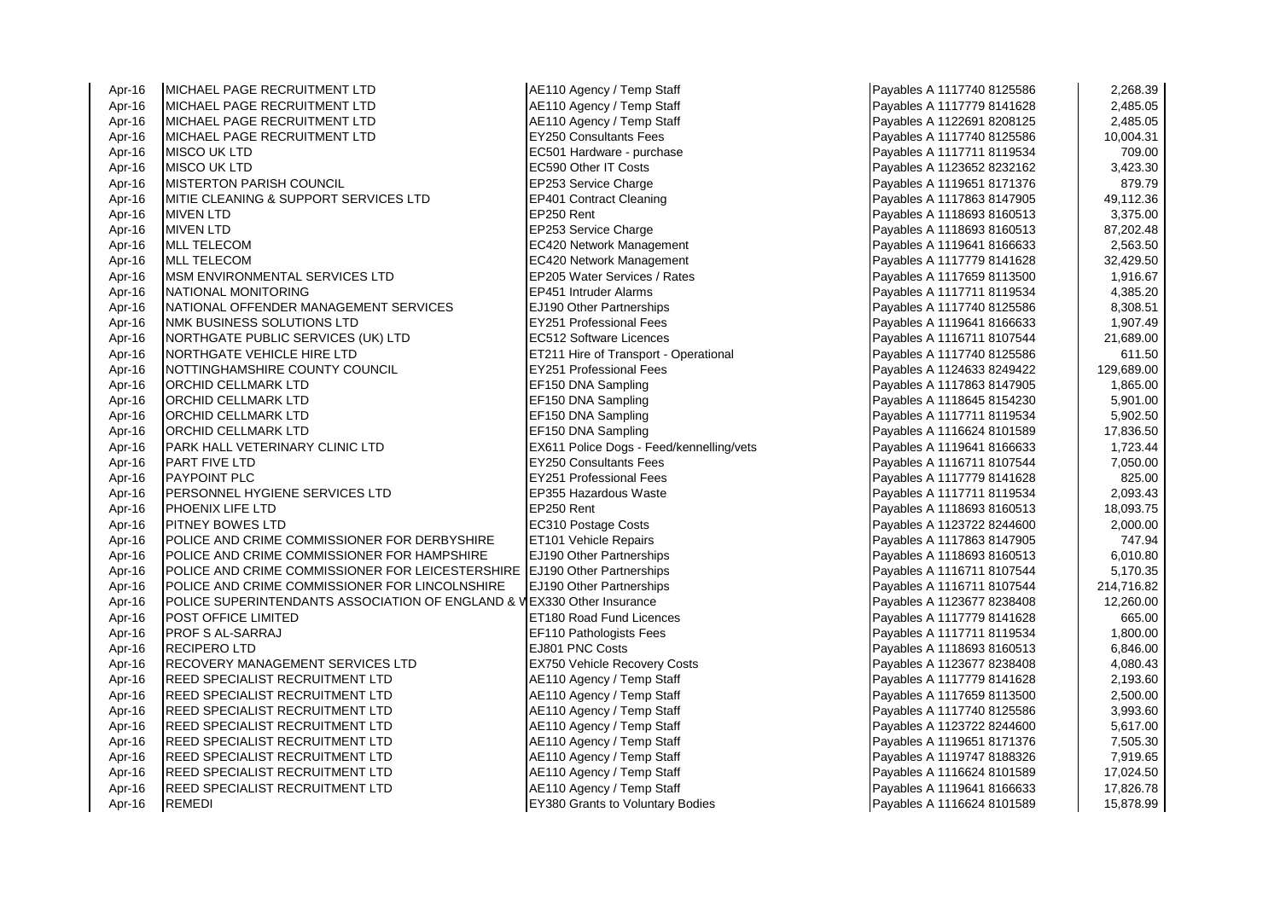Apr-16 MICHAEL PAGE RECRUITMENT LTD AE110 Agency / Temp Staff Apr-16 MICHAEL PAGE RECRUITMENT LTD A 2007 AE Apr-16 MICHAEL PAGE RECRUITMENT LTD AE110 Agency / Temp Staff ADD Agency / Temp Staff Payables A 111779 81416<br>Abr-16 MICHAEL PAGE RECRUITMENT LTD A 11178 81416 MICHAEL PAGE RECRUITMENT LTD Apr-16 MICHAEL PAGE RECRUITMENT LTD **EY250 Consultants Fees** Apr-16 MISCO UK LTD EC501 Hardware - purchase Payables A 11111 11171 11171 81111 81111 81111 81111 81111 8111<br>Apr-16 MISCO UK LTD EC590 0ther IT Costs Apr-16 |MISCO UK LTD |EC590 Other IT Costs |Payables A 1123652 8232162 | 3,423.30 Apr-16 MISTERTON PARISH COUNCIL<br>Apr-16 MITIF CLEANING & SUPPORT SERVICES LTD EP401 Contract Cleaning Apr-16 MITIE CLEANING & SUPPORT SERVICES LTD EP401 Contract Cleaning Payables A 1111 CLEANING & SUPPORT SERVICES LTD Apr-16 MIVEN LTD EP250 Rent Payables A 1118693 8160513 3,375.00 Apr-16 MIVEN LTD EP253 Service Charge Apr-16 MLL TELECOM **EXAMPLE A 11196 120 Apr-16** Payable Payable Payable Payable Payables A 111964 8166631 2,563.50 Apr-16 MLL TELECOM EC420 Network Management<br>Apr-16 MSM ENVIRONMENTAL SERVICES LTD EP205 Water Services / Rates Apr-16 MSM ENVIRONMENTAL SERVICES LTD<br>Apr-16 NATIONAL MONITORING **ALARET APPENDITORING EP451 Intruder Alarms Payable A 111711 8121953** Apr-16 NATIONAL OFFENDER MANAGEMENT SERVICES EJ190 Other Partnerships <br>Apr-16 NMK BUSINESS SOLUTIONS I TD **NMK BUSINESS SOLUTIONS LTD** Apr-16 NORTHGATE PUBLIC SERVICES (UK) LTD **EXECUTES** PART RECS12 Software Licences Apr-16 NORTHGATE VEHICLE HIRE LTD **ET211 Hire of Transport - Operational**<br>Apr-16 NOTTINGHAMSHIRE COUNTY COUNCIL **EY251 Professional Fees** NOTTINGHAMSHIRE COUNTY COUNCIL Apr-16 ORCHID CELLMARK LTD EF150 DNA Sampling Apr-16 ORCHID CELLMARK LTD EXAMPLE PAYABLES A 111 ST LEFT A 111 SAMPling Apr-16 ORCHID CELLMARK LTD EF150 DNA Sampling Apr-16 ORCHID CELLMARK LTD EF150 DNA Sampling Apr-16 PARK HALL VETERINARY CLINIC LTD EX611 Police Dogs - Feed/kennelling/vets Apr-16 |PART FIVE LTD |EY250 Consultants Fees 7,050.00 Apr-16 |PAYPOINT PLC |EY251 Professional Fees 815.00 825.00 Apr-16 PERSONNEL HYGIENE SERVICES LTD EP355 Hazardous Waste Apr-16 PHOENIX LIFE LTD EP250 Rent Payables A 1118693 8160513 18,093.75 Apr-16 PITNEY BOWES LTD EXAMPLE RECATE RECATE RECATE RECATE RECATE RECATE RECATE RECATE RECATE Apr-16 POLICE AND CRIME COMMISSIONER FOR DERBYSHIRE ET101 Vehicle Repairs Apr-16 POLICE AND CRIME COMMISSIONER FOR HAMPSHIRE **ELITE FOR 15** Fartnerships Apr-16 POLICE AND CRIME COMMISSIONER FOR LEICESTERSHIRE EJ190 Other Partnerships Apr-16 **POLICE AND CRIME COMMISSIONER FOR LINCOLNSHIRE EJ190 Other Partnerships** Apr-16 POLICE SUPERINTENDANTS ASSOCIATION OF ENGLAND & WEX330 Other Insurance Apr-16 POST OFFICE LIMITED<br>Apr-16 PROF S AI-SARRAJ PROFES A 1117779 814162 814162 814162 814161628 665.000 81416162 676.000 814162 81416 Apr-16 RECIPERO LTD EJ801 PNC Costs Payables A 1118693 8160513 6,846.00 Apr-16 RECOVERY MANAGEMENT SERVICES LTD EX750 Vehicle Recovery Costs Apr-16 REED SPECIALIST RECRUITMENT LTD ALE110 Agency / Temp Staff Apr-16 REED SPECIALIST RECRUITMENT LTD AE110 Agency / Temp Staff Payable A 11176 Apr-16 81150 According Payables A 11176 According Payables A 11176 Apr-16 81250 812500 2,500.000 2,500.000 2,500.000 2,500.000 2,500.000 2,5 **REED SPECIALIST RECRUITMENT LTD** Apr-16 REED SPECIALIST RECRUITMENT LTD AE110 Agency / Temp Staff Apr-16 REED SPECIALIST RECRUITMENT LTD Apr-16 REED SPECIALIST RECRUITMENT LTD Apr-16 REED SPECIALIST RECRUITMENT LTD And According A 1110 Agency / Temp Staff Apr-16 REED SPECIALIST RECRUITMENT LTD And Act 110 Agency / Temp Staff Apr-16 REED SPECIALIST RECRUITMENT LTD Annual AE110 Agency / Temp Staff Apr-16 REMEDI **EXAMPLE REMEDI** EXAMPLE 2014 **REMEDI** EXAMPLE 2014 **15,878.999 15,878.999 15,878.999 15,878.999 15,878.999 15,878.999 15,878.999 15,878.999 15,878.999 15,878.999 15,878.999 15,878.999 15,878.999 15,878.999 1** 

**EF110 Pathologists Fees** 

| Payables A 1117740 8125586 | 2,268.39   |
|----------------------------|------------|
| Payables A 1117779 8141628 | 2,485.05   |
| Payables A 1122691 8208125 | 2,485.05   |
| Payables A 1117740 8125586 | 10,004.31  |
| Payables A 1117711 8119534 | 709.00     |
| Payables A 1123652 8232162 | 3,423.30   |
| Payables A 1119651 8171376 | 879.79     |
| Payables A 1117863 8147905 | 49,112.36  |
| Payables A 1118693 8160513 | 3,375.00   |
| Payables A 1118693 8160513 | 87,202.48  |
| Payables A 1119641 8166633 | 2,563.50   |
| Payables A 1117779 8141628 | 32,429.50  |
| Payables A 1117659 8113500 | 1,916.67   |
| Payables A 1117711 8119534 | 4,385.20   |
| Payables A 1117740 8125586 | 8,308.51   |
| Payables A 1119641 8166633 | 1,907.49   |
| Payables A 1116711 8107544 | 21,689.00  |
| Payables A 1117740 8125586 | 611.50     |
| Payables A 1124633 8249422 | 129,689.00 |
| Payables A 1117863 8147905 | 1,865.00   |
| Payables A 1118645 8154230 | 5,901.00   |
| Payables A 1117711 8119534 | 5,902.50   |
| Payables A 1116624 8101589 | 17,836.50  |
| Payables A 1119641 8166633 | 1,723.44   |
| Payables A 1116711 8107544 | 7,050.00   |
| Payables A 1117779 8141628 | 825.00     |
| Payables A 1117711 8119534 | 2,093.43   |
| Payables A 1118693 8160513 | 18,093.75  |
| Payables A 1123722 8244600 | 2,000.00   |
| Payables A 1117863 8147905 | 747.94     |
| Payables A 1118693 8160513 | 6,010.80   |
| Payables A 1116711 8107544 | 5,170.35   |
| Payables A 1116711 8107544 | 214,716.82 |
| Payables A 1123677 8238408 | 12,260.00  |
| Payables A 1117779 8141628 | 665.00     |
| Payables A 1117711 8119534 | 1,800.00   |
| Payables A 1118693 8160513 | 6,846.00   |
| Payables A 1123677 8238408 | 4,080.43   |
| Payables A 1117779 8141628 | 2,193.60   |
| Payables A 1117659 8113500 | 2,500.00   |
| Payables A 1117740 8125586 | 3,993.60   |
| Payables A 1123722 8244600 | 5,617.00   |
| Payables A 1119651 8171376 | 7,505.30   |
| Payables A 1119747 8188326 | 7,919.65   |
| Payables A 1116624 8101589 | 17,024.50  |
| Payables A 1119641 8166633 | 17,826.78  |
| Payables A 1116624 8101589 | 15,878.99  |